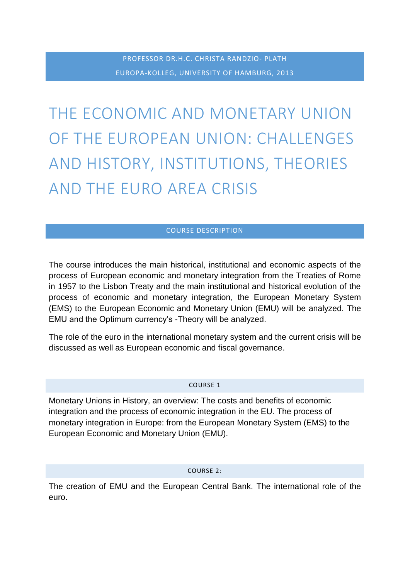THE ECONOMIC AND MONETARY UNION OF THE EUROPEAN UNION: CHALLENGES AND HISTORY, INSTITUTIONS, THEORIES AND THE EURO AREA CRISIS

# COURSE DESCRIPTION

The course introduces the main historical, institutional and economic aspects of the process of European economic and monetary integration from the Treaties of Rome in 1957 to the Lisbon Treaty and the main institutional and historical evolution of the process of economic and monetary integration, the European Monetary System (EMS) to the European Economic and Monetary Union (EMU) will be analyzed. The EMU and the Optimum currency's -Theory will be analyzed.

The role of the euro in the international monetary system and the current crisis will be discussed as well as European economic and fiscal governance.

### COURSE 1

Monetary Unions in History, an overview: The costs and benefits of economic integration and the process of economic integration in the EU. The process of monetary integration in Europe: from the European Monetary System (EMS) to the European Economic and Monetary Union (EMU).

### COURSE 2:

The creation of EMU and the European Central Bank. The international role of the euro.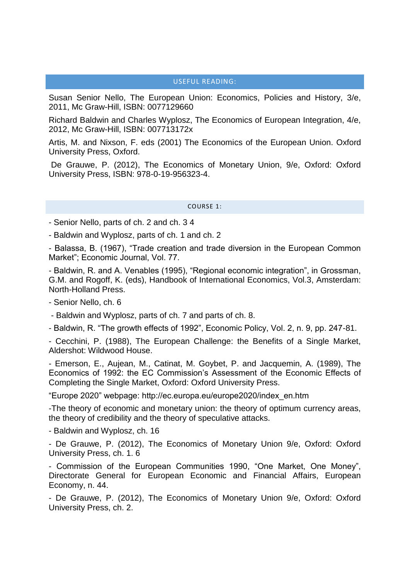# USEFUL READING:

Susan Senior Nello, The European Union: Economics, Policies and History, 3/e, 2011, Mc Graw-Hill, ISBN: 0077129660

Richard Baldwin and Charles Wyplosz, The Economics of European Integration, 4/e, 2012, Mc Graw-Hill, ISBN: 007713172x

Artis, M. and Nixson, F. eds (2001) The Economics of the European Union. Oxford University Press, Oxford.

De Grauwe, P. (2012), The Economics of Monetary Union, 9/e, Oxford: Oxford University Press, ISBN: 978-0-19-956323-4.

COURSE 1:

- Senior Nello, parts of ch. 2 and ch. 3 4

- Baldwin and Wyplosz, parts of ch. 1 and ch. 2

- Balassa, B. (1967), "Trade creation and trade diversion in the European Common Market"; Economic Journal, Vol. 77.

- Baldwin, R. and A. Venables (1995), "Regional economic integration", in Grossman, G.M. and Rogoff, K. (eds), Handbook of International Economics, Vol.3, Amsterdam: North-Holland Press.

- Senior Nello, ch. 6

- Baldwin and Wyplosz, parts of ch. 7 and parts of ch. 8.

- Baldwin, R. "The growth effects of 1992", Economic Policy, Vol. 2, n. 9, pp. 247-81.

- Cecchini, P. (1988), The European Challenge: the Benefits of a Single Market, Aldershot: Wildwood House.

- Emerson, E., Aujean, M., Catinat, M. Goybet, P. and Jacquemin, A. (1989), The Economics of 1992: the EC Commission's Assessment of the Economic Effects of Completing the Single Market, Oxford: Oxford University Press.

"Europe 2020" webpage: http://ec.europa.eu/europe2020/index\_en.htm

-The theory of economic and monetary union: the theory of optimum currency areas, the theory of credibility and the theory of speculative attacks.

- Baldwin and Wyplosz, ch. 16

- De Grauwe, P. (2012), The Economics of Monetary Union 9/e, Oxford: Oxford University Press, ch. 1. 6

- Commission of the European Communities 1990, "One Market, One Money", Directorate General for European Economic and Financial Affairs, European Economy, n. 44.

- De Grauwe, P. (2012), The Economics of Monetary Union 9/e, Oxford: Oxford University Press, ch. 2.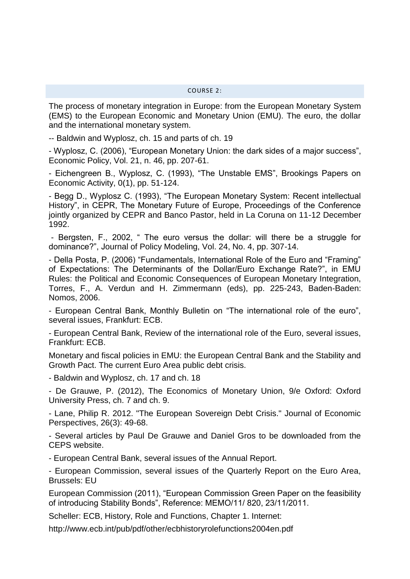The process of monetary integration in Europe: from the European Monetary System (EMS) to the European Economic and Monetary Union (EMU). The euro, the dollar and the international monetary system.

-- Baldwin and Wyplosz, ch. 15 and parts of ch. 19

- Wyplosz, C. (2006), "European Monetary Union: the dark sides of a major success", Economic Policy, Vol. 21, n. 46, pp. 207-61.

- Eichengreen B., Wyplosz, C. (1993), "The Unstable EMS", Brookings Papers on Economic Activity, 0(1), pp. 51-124.

- Begg D., Wyplosz C. (1993), "The European Monetary System: Recent intellectual History", in CEPR, The Monetary Future of Europe, Proceedings of the Conference jointly organized by CEPR and Banco Pastor, held in La Coruna on 11-12 December 1992.

- Bergsten, F., 2002, " The euro versus the dollar: will there be a struggle for dominance?", Journal of Policy Modeling, Vol. 24, No. 4, pp. 307-14.

- Della Posta, P. (2006) "Fundamentals, International Role of the Euro and "Framing" of Expectations: The Determinants of the Dollar/Euro Exchange Rate?", in EMU Rules: the Political and Economic Consequences of European Monetary Integration, Torres, F., A. Verdun and H. Zimmermann (eds), pp. 225-243, Baden-Baden: Nomos, 2006.

- European Central Bank, Monthly Bulletin on "The international role of the euro", several issues, Frankfurt: ECB.

- European Central Bank, Review of the international role of the Euro, several issues, Frankfurt: ECB.

Monetary and fiscal policies in EMU: the European Central Bank and the Stability and Growth Pact. The current Euro Area public debt crisis.

- Baldwin and Wyplosz, ch. 17 and ch. 18

- De Grauwe, P. (2012), The Economics of Monetary Union, 9/e Oxford: Oxford University Press, ch. 7 and ch. 9.

- Lane, Philip R. 2012. "The European Sovereign Debt Crisis." Journal of Economic Perspectives, 26(3): 49-68.

- Several articles by Paul De Grauwe and Daniel Gros to be downloaded from the CEPS website.

- European Central Bank, several issues of the Annual Report.

- European Commission, several issues of the Quarterly Report on the Euro Area, Brussels: EU

European Commission (2011), "European Commission Green Paper on the feasibility of introducing Stability Bonds", Reference: MEMO/11/ 820, 23/11/2011.

Scheller: ECB, History, Role and Functions, Chapter 1. Internet:

http://www.ecb.int/pub/pdf/other/ecbhistoryrolefunctions2004en.pdf